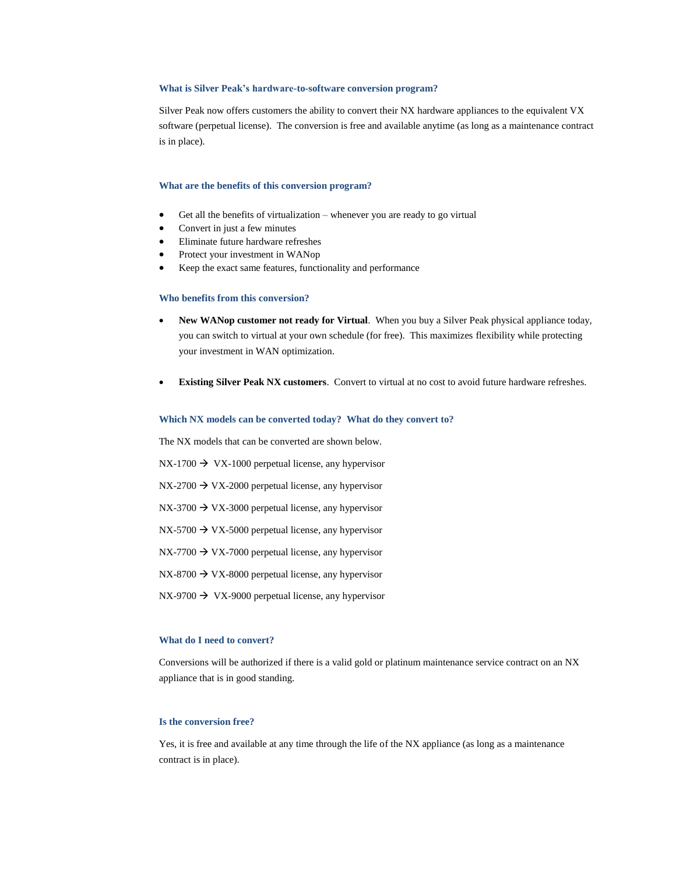## **What is Silver Peak's hardware-to-software conversion program?**

Silver Peak now offers customers the ability to convert their NX hardware appliances to the equivalent VX software (perpetual license). The conversion is free and available anytime (as long as a maintenance contract is in place).

## **What are the benefits of this conversion program?**

- Get all the benefits of virtualization whenever you are ready to go virtual
- Convert in just a few minutes
- Eliminate future hardware refreshes
- Protect your investment in WANop
- Keep the exact same features, functionality and performance

## **Who benefits from this conversion?**

- **New WANop customer not ready for Virtual**. When you buy a Silver Peak physical appliance today, you can switch to virtual at your own schedule (for free). This maximizes flexibility while protecting your investment in WAN optimization.
- **Existing Silver Peak NX customers**. Convert to virtual at no cost to avoid future hardware refreshes.

# **Which NX models can be converted today? What do they convert to?**

The NX models that can be converted are shown below.

 $NX-1700 \rightarrow VX-1000$  perpetual license, any hypervisor

 $NX-2700 \rightarrow VX-2000$  perpetual license, any hypervisor

 $NX-3700 \rightarrow VX-3000$  perpetual license, any hypervisor

 $NX-5700 \rightarrow VX-5000$  perpetual license, any hypervisor

 $NX-7700 \rightarrow VX-7000$  perpetual license, any hypervisor

 $NX-8700 \rightarrow VX-8000$  perpetual license, any hypervisor

 $NX-9700 \rightarrow VX-9000$  perpetual license, any hypervisor

## **What do I need to convert?**

Conversions will be authorized if there is a valid gold or platinum maintenance service contract on an NX appliance that is in good standing.

# **Is the conversion free?**

Yes, it is free and available at any time through the life of the NX appliance (as long as a maintenance contract is in place).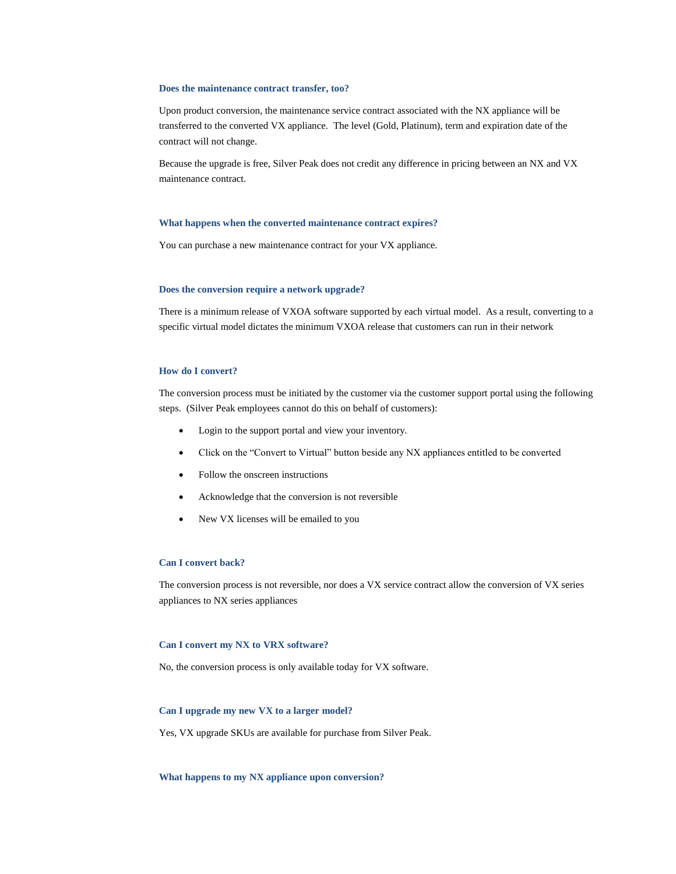## **Does the maintenance contract transfer, too?**

Upon product conversion, the maintenance service contract associated with the NX appliance will be transferred to the converted VX appliance. The level (Gold, Platinum), term and expiration date of the contract will not change.

Because the upgrade is free, Silver Peak does not credit any difference in pricing between an NX and VX maintenance contract.

#### **What happens when the converted maintenance contract expires?**

You can purchase a new maintenance contract for your VX appliance.

# **Does the conversion require a network upgrade?**

There is a minimum release of VXOA software supported by each virtual model. As a result, converting to a specific virtual model dictates the minimum VXOA release that customers can run in their network

# **How do I convert?**

The conversion process must be initiated by the customer via the customer support portal using the following steps. (Silver Peak employees cannot do this on behalf of customers):

- Login to the support portal and view your inventory.
- Click on the "Convert to Virtual" button beside any NX appliances entitled to be converted
- Follow the onscreen instructions
- Acknowledge that the conversion is not reversible
- New VX licenses will be emailed to you

# **Can I convert back?**

The conversion process is not reversible, nor does a VX service contract allow the conversion of VX series appliances to NX series appliances

# **Can I convert my NX to VRX software?**

No, the conversion process is only available today for VX software.

# **Can I upgrade my new VX to a larger model?**

Yes, VX upgrade SKUs are available for purchase from Silver Peak.

## **What happens to my NX appliance upon conversion?**